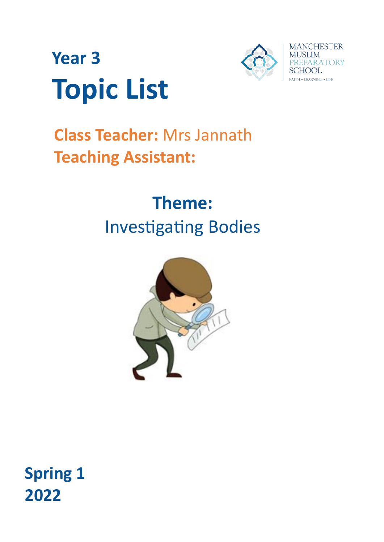



# **Class Teacher:** Mrs Jannath **Teaching Assistant:**

# **Theme:** Investigating Bodies



## **Spring 1 2022**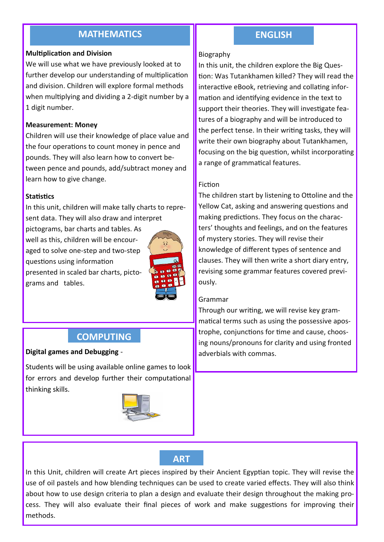### **MATHEMATICS ENGLISH**

#### **Multiplication and Division**

We will use what we have previously looked at to further develop our understanding of multiplication and division. Children will explore formal methods when multiplying and dividing a 2-digit number by a 1 digit number.

#### **Measurement: Money**

Children will use their knowledge of place value and the four operations to count money in pence and pounds. They will also learn how to convert between pence and pounds, add/subtract money and learn how to give change.

#### **Statistics**

In this unit, children will make tally charts to represent data. They will also draw and interpret

pictograms, bar charts and tables. As well as this, children will be encouraged to solve one-step and two-step questions using information presented in scaled bar charts, pictograms and tables.



### **COMPUTING**

**Digital games and Debugging - The Commas in the Commas. and Leftung in the Commas in the Commas.** 

Students will be using available online games to look for errors and develop further their computational thinking skills.



#### Biography

In this unit, the children explore the Big Question: Was Tutankhamen killed? They will read the interactive eBook, retrieving and collating information and identifying evidence in the text to support their theories. They will investigate features of a biography and will be introduced to the perfect tense. In their writing tasks, they will write their own biography about Tutankhamen, focusing on the big question, whilst incorporating a range of grammatical features.

#### Fiction

The children start by listening to Ottoline and the Yellow Cat, asking and answering questions and making predictions. They focus on the characters' thoughts and feelings, and on the features of mystery stories. They will revise their knowledge of different types of sentence and clauses. They will then write a short diary entry, revising some grammar features covered previously.

#### Grammar

Through our writing, we will revise key grammatical terms such as using the possessive apostrophe, conjunctions for time and cause, choosing nouns/pronouns for clarity and using fronted

**ART**

In this Unit, children will create Art pieces inspired by their Ancient Egyptian topic. They will revise the use of oil pastels and how blending techniques can be used to create varied effects. They will also think about how to use design criteria to plan a design and evaluate their design throughout the making process. They will also evaluate their final pieces of work and make suggestions for improving their methods.